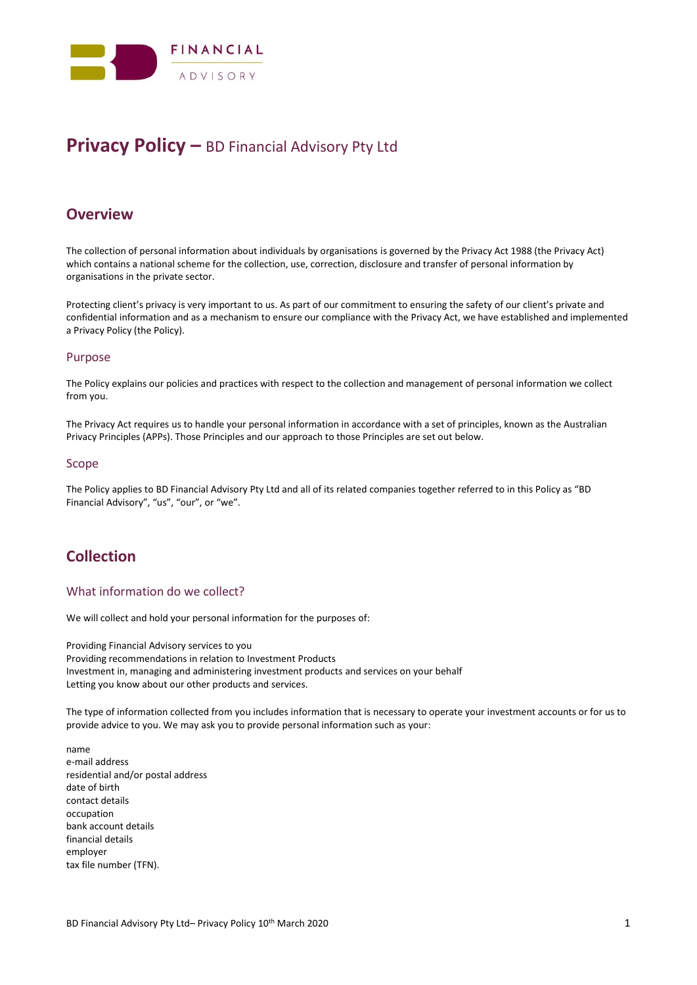

# **Privacy Policy –** BD Financial Advisory Pty Ltd

## **Overview**

The collection of personal information about individuals by organisations is governed by the Privacy Act 1988 (the Privacy Act) which contains a national scheme for the collection, use, correction, disclosure and transfer of personal information by organisations in the private sector.

Protecting client's privacy is very important to us. As part of our commitment to ensuring the safety of our client's private and confidential information and as a mechanism to ensure our compliance with the Privacy Act, we have established and implemented a Privacy Policy (the Policy).

### Purpose

The Policy explains our policies and practices with respect to the collection and management of personal information we collect from you.

The Privacy Act requires us to handle your personal information in accordance with a set of principles, known as the Australian Privacy Principles (APPs). Those Principles and our approach to those Principles are set out below.

#### Scope

The Policy applies to BD Financial Advisory Pty Ltd and all of its related companies together referred to in this Policy as "BD Financial Advisory", "us", "our", or "we".

## **Collection**

### What information do we collect?

We will collect and hold your personal information for the purposes of:

Providing Financial Advisory services to you Providing recommendations in relation to Investment Products Investment in, managing and administering investment products and services on your behalf Letting you know about our other products and services.

The type of information collected from you includes information that is necessary to operate your investment accounts or for us to provide advice to you. We may ask you to provide personal information such as your:

name e-mail address residential and/or postal address date of birth contact details occupation bank account details financial details employer tax file number (TFN).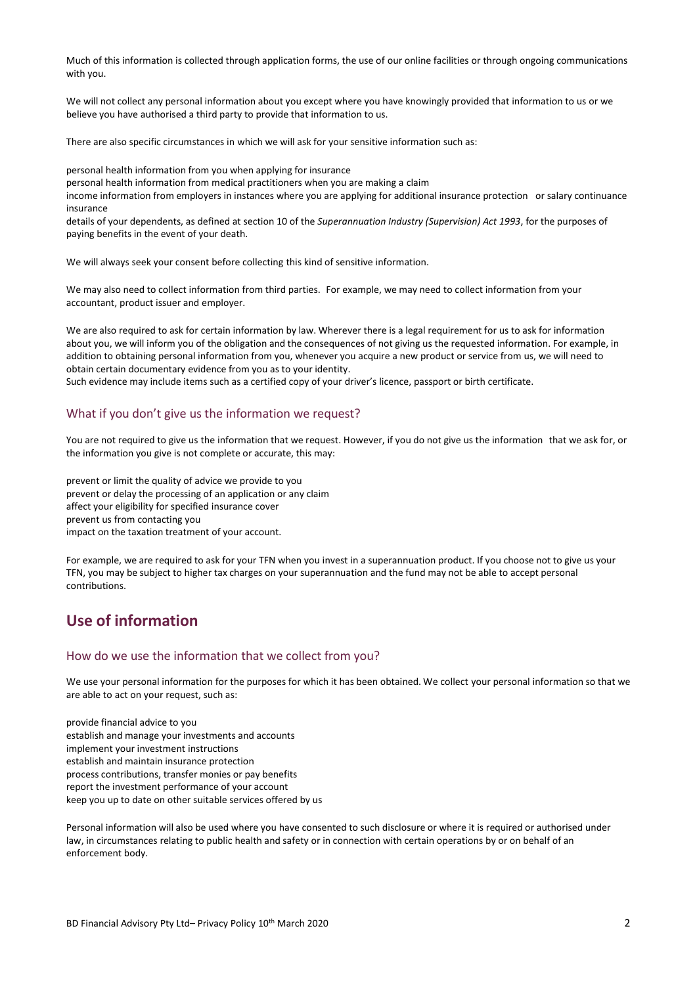Much of this information is collected through application forms, the use of our online facilities or through ongoing communications with you.

We will not collect any personal information about you except where you have knowingly provided that information to us or we believe you have authorised a third party to provide that information to us.

There are also specific circumstances in which we will ask for your sensitive information such as:

personal health information from you when applying for insurance

personal health information from medical practitioners when you are making a claim

income information from employers in instances where you are applying for additional insurance protection or salary continuance insurance

details of your dependents, as defined at section 10 of the *Superannuation Industry (Supervision) Act 1993*, for the purposes of paying benefits in the event of your death.

We will always seek your consent before collecting this kind of sensitive information.

We may also need to collect information from third parties. For example, we may need to collect information from your accountant, product issuer and employer.

We are also required to ask for certain information by law. Wherever there is a legal requirement for us to ask for information about you, we will inform you of the obligation and the consequences of not giving us the requested information. For example, in addition to obtaining personal information from you, whenever you acquire a new product or service from us, we will need to obtain certain documentary evidence from you as to your identity.

Such evidence may include items such as a certified copy of your driver's licence, passport or birth certificate.

#### What if you don't give us the information we request?

You are not required to give us the information that we request. However, if you do not give us the information that we ask for, or the information you give is not complete or accurate, this may:

prevent or limit the quality of advice we provide to you prevent or delay the processing of an application or any claim affect your eligibility for specified insurance cover prevent us from contacting you impact on the taxation treatment of your account.

For example, we are required to ask for your TFN when you invest in a superannuation product. If you choose not to give us your TFN, you may be subject to higher tax charges on your superannuation and the fund may not be able to accept personal contributions.

## **Use of information**

#### How do we use the information that we collect from you?

We use your personal information for the purposes for which it has been obtained. We collect your personal information so that we are able to act on your request, such as:

provide financial advice to you establish and manage your investments and accounts implement your investment instructions establish and maintain insurance protection process contributions, transfer monies or pay benefits report the investment performance of your account keep you up to date on other suitable services offered by us

Personal information will also be used where you have consented to such disclosure or where it is required or authorised under law, in circumstances relating to public health and safety or in connection with certain operations by or on behalf of an enforcement body.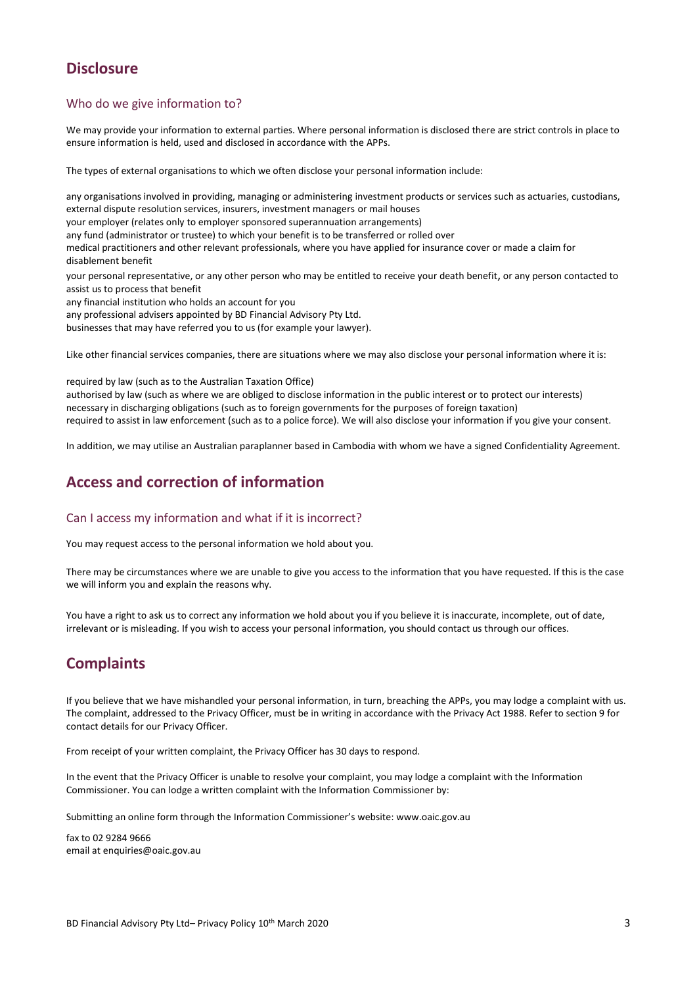# **Disclosure**

### Who do we give information to?

We may provide your information to external parties. Where personal information is disclosed there are strict controls in place to ensure information is held, used and disclosed in accordance with the APPs.

The types of external organisations to which we often disclose your personal information include:

any organisations involved in providing, managing or administering investment products or services such as actuaries, custodians, external dispute resolution services, insurers, investment managers or mail houses your employer (relates only to employer sponsored superannuation arrangements) any fund (administrator or trustee) to which your benefit is to be transferred or rolled over medical practitioners and other relevant professionals, where you have applied for insurance cover or made a claim for disablement benefit your personal representative, or any other person who may be entitled to receive your death benefit, or any person contacted to assist us to process that benefit any financial institution who holds an account for you

any professional advisers appointed by BD Financial Advisory Pty Ltd.

businesses that may have referred you to us (for example your lawyer).

Like other financial services companies, there are situations where we may also disclose your personal information where it is:

required by law (such as to the Australian Taxation Office)

authorised by law (such as where we are obliged to disclose information in the public interest or to protect our interests) necessary in discharging obligations (such as to foreign governments for the purposes of foreign taxation) required to assist in law enforcement (such as to a police force). We will also disclose your information if you give your consent.

In addition, we may utilise an Australian paraplanner based in Cambodia with whom we have a signed Confidentiality Agreement.

# **Access and correction of information**

### Can I access my information and what if it is incorrect?

You may request access to the personal information we hold about you.

There may be circumstances where we are unable to give you access to the information that you have requested. If this is the case we will inform you and explain the reasons why.

You have a right to ask us to correct any information we hold about you if you believe it is inaccurate, incomplete, out of date, irrelevant or is misleading. If you wish to access your personal information, you should contact us through our offices.

# **Complaints**

If you believe that we have mishandled your personal information, in turn, breaching the APPs, you may lodge a complaint with us. The complaint, addressed to the Privacy Officer, must be in writing in accordance with the Privacy Act 1988. Refer to section 9 for contact details for our Privacy Officer.

From receipt of your written complaint, the Privacy Officer has 30 days to respond.

In the event that the Privacy Officer is unable to resolve your complaint, you may lodge a complaint with the Information Commissioner. You can lodge a written complaint with the Information Commissioner by:

Submitting an online form through the Information Commissioner's website: www.oaic.gov.au

fax to 02 9284 9666 email at enquiries@oaic.gov.au